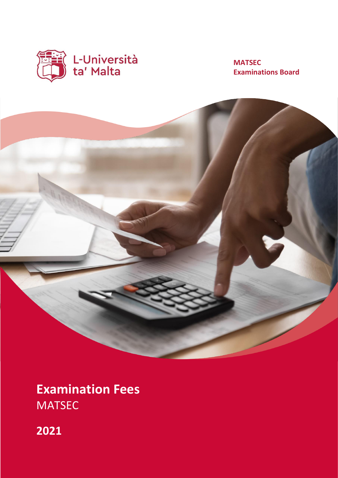

# **MATSEC Examinations Board**



**Examination Fees** MATSEC

**2021**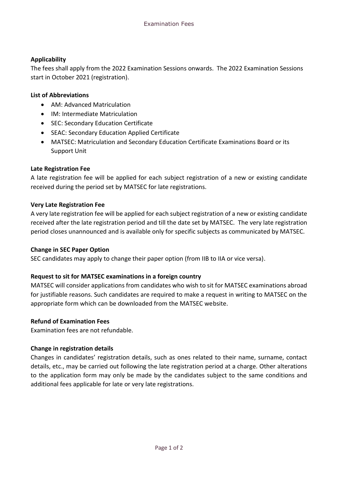## **Applicability**

The fees shall apply from the 2022 Examination Sessions onwards. The 2022 Examination Sessions start in October 2021 (registration).

## **List of Abbreviations**

- AM: Advanced Matriculation
- IM: Intermediate Matriculation
- SEC: Secondary Education Certificate
- SEAC: Secondary Education Applied Certificate
- MATSEC: Matriculation and Secondary Education Certificate Examinations Board or its Support Unit

## **Late Registration Fee**

A late registration fee will be applied for each subject registration of a new or existing candidate received during the period set by MATSEC for late registrations.

#### **Very Late Registration Fee**

A very late registration fee will be applied for each subject registration of a new or existing candidate received after the late registration period and till the date set by MATSEC. The very late registration period closes unannounced and is available only for specific subjects as communicated by MATSEC.

#### **Change in SEC Paper Option**

SEC candidates may apply to change their paper option (from IIB to IIA or vice versa).

## **Request to sit for MATSEC examinations in a foreign country**

MATSEC will consider applications from candidates who wish to sit for MATSEC examinations abroad for justifiable reasons. Such candidates are required to make a request in writing to MATSEC on the appropriate form which can be downloaded from the MATSEC website.

## **Refund of Examination Fees**

Examination fees are not refundable.

## **Change in registration details**

Changes in candidates' registration details, such as ones related to their name, surname, contact details, etc., may be carried out following the late registration period at a charge. Other alterations to the application form may only be made by the candidates subject to the same conditions and additional fees applicable for late or very late registrations.